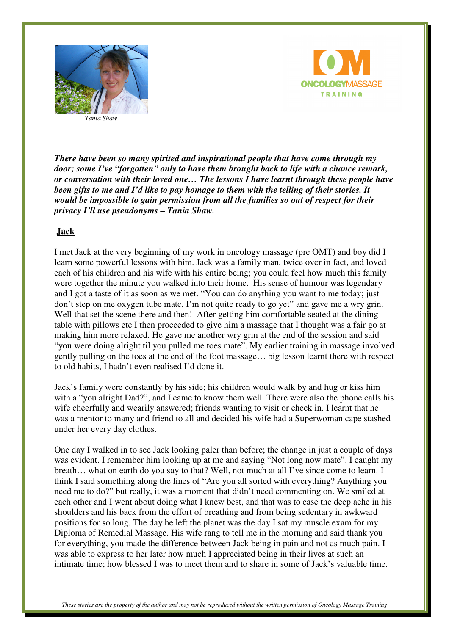



*There have been so many spirited and inspirational people that have come through my door; some I've "forgotten" only to have them brought back to life with a chance remark, or conversation with their loved one… The lessons I have learnt through these people have been gifts to me and I'd like to pay homage to them with the telling of their stories. It would be impossible to gain permission from all the families so out of respect for their privacy I'll use pseudonyms – Tania Shaw.* 

## **Jack**

I met Jack at the very beginning of my work in oncology massage (pre OMT) and boy did I learn some powerful lessons with him. Jack was a family man, twice over in fact, and loved each of his children and his wife with his entire being; you could feel how much this family were together the minute you walked into their home. His sense of humour was legendary and I got a taste of it as soon as we met. "You can do anything you want to me today; just don't step on me oxygen tube mate, I'm not quite ready to go yet" and gave me a wry grin. Well that set the scene there and then! After getting him comfortable seated at the dining table with pillows etc I then proceeded to give him a massage that I thought was a fair go at making him more relaxed. He gave me another wry grin at the end of the session and said "you were doing alright til you pulled me toes mate". My earlier training in massage involved gently pulling on the toes at the end of the foot massage… big lesson learnt there with respect to old habits, I hadn't even realised I'd done it.

Jack's family were constantly by his side; his children would walk by and hug or kiss him with a "you alright Dad?", and I came to know them well. There were also the phone calls his wife cheerfully and wearily answered; friends wanting to visit or check in. I learnt that he was a mentor to many and friend to all and decided his wife had a Superwoman cape stashed under her every day clothes.

One day I walked in to see Jack looking paler than before; the change in just a couple of days was evident. I remember him looking up at me and saying "Not long now mate". I caught my breath… what on earth do you say to that? Well, not much at all I've since come to learn. I think I said something along the lines of "Are you all sorted with everything? Anything you need me to do?" but really, it was a moment that didn't need commenting on. We smiled at each other and I went about doing what I knew best, and that was to ease the deep ache in his shoulders and his back from the effort of breathing and from being sedentary in awkward positions for so long. The day he left the planet was the day I sat my muscle exam for my Diploma of Remedial Massage. His wife rang to tell me in the morning and said thank you for everything, you made the difference between Jack being in pain and not as much pain. I was able to express to her later how much I appreciated being in their lives at such an intimate time; how blessed I was to meet them and to share in some of Jack's valuable time.